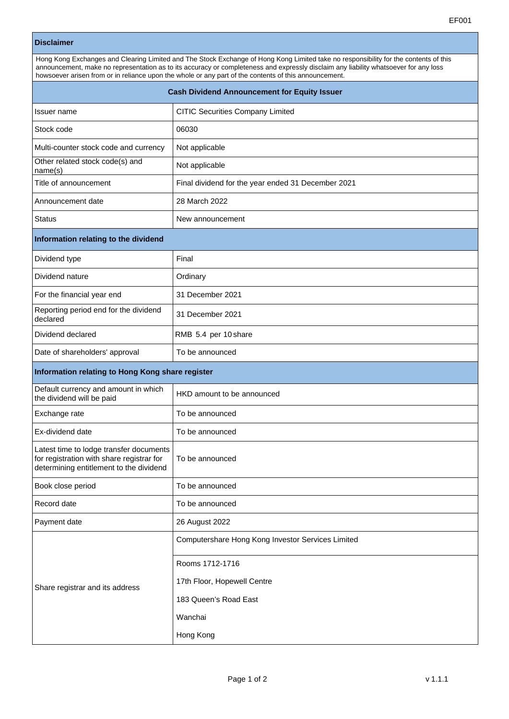| <b>Disclaimer</b>                                                                                                                                                                                                                                                                                                                                                                     |                                                    |  |
|---------------------------------------------------------------------------------------------------------------------------------------------------------------------------------------------------------------------------------------------------------------------------------------------------------------------------------------------------------------------------------------|----------------------------------------------------|--|
| Hong Kong Exchanges and Clearing Limited and The Stock Exchange of Hong Kong Limited take no responsibility for the contents of this<br>announcement, make no representation as to its accuracy or completeness and expressly disclaim any liability whatsoever for any loss<br>howsoever arisen from or in reliance upon the whole or any part of the contents of this announcement. |                                                    |  |
| <b>Cash Dividend Announcement for Equity Issuer</b>                                                                                                                                                                                                                                                                                                                                   |                                                    |  |
| Issuer name                                                                                                                                                                                                                                                                                                                                                                           | CITIC Securities Company Limited                   |  |
| Stock code                                                                                                                                                                                                                                                                                                                                                                            | 06030                                              |  |
| Multi-counter stock code and currency                                                                                                                                                                                                                                                                                                                                                 | Not applicable                                     |  |
| Other related stock code(s) and<br>name(s)                                                                                                                                                                                                                                                                                                                                            | Not applicable                                     |  |
| Title of announcement                                                                                                                                                                                                                                                                                                                                                                 | Final dividend for the year ended 31 December 2021 |  |
| Announcement date                                                                                                                                                                                                                                                                                                                                                                     | 28 March 2022                                      |  |
| <b>Status</b>                                                                                                                                                                                                                                                                                                                                                                         | New announcement                                   |  |
| Information relating to the dividend                                                                                                                                                                                                                                                                                                                                                  |                                                    |  |
| Dividend type                                                                                                                                                                                                                                                                                                                                                                         | Final                                              |  |
| Dividend nature                                                                                                                                                                                                                                                                                                                                                                       | Ordinary                                           |  |
| For the financial year end                                                                                                                                                                                                                                                                                                                                                            | 31 December 2021                                   |  |
| Reporting period end for the dividend<br>declared                                                                                                                                                                                                                                                                                                                                     | 31 December 2021                                   |  |
| Dividend declared                                                                                                                                                                                                                                                                                                                                                                     | RMB 5.4 per 10 share                               |  |
| Date of shareholders' approval                                                                                                                                                                                                                                                                                                                                                        | To be announced                                    |  |
| Information relating to Hong Kong share register                                                                                                                                                                                                                                                                                                                                      |                                                    |  |
| Default currency and amount in which<br>the dividend will be paid                                                                                                                                                                                                                                                                                                                     | HKD amount to be announced                         |  |
| Exchange rate                                                                                                                                                                                                                                                                                                                                                                         | To be announced                                    |  |
| Ex-dividend date                                                                                                                                                                                                                                                                                                                                                                      | To be announced                                    |  |
| Latest time to lodge transfer documents<br>for registration with share registrar for<br>determining entitlement to the dividend                                                                                                                                                                                                                                                       | To be announced                                    |  |
| Book close period                                                                                                                                                                                                                                                                                                                                                                     | To be announced                                    |  |
| Record date                                                                                                                                                                                                                                                                                                                                                                           | To be announced                                    |  |
| Payment date                                                                                                                                                                                                                                                                                                                                                                          | 26 August 2022                                     |  |
| Share registrar and its address                                                                                                                                                                                                                                                                                                                                                       | Computershare Hong Kong Investor Services Limited  |  |
|                                                                                                                                                                                                                                                                                                                                                                                       | Rooms 1712-1716                                    |  |
|                                                                                                                                                                                                                                                                                                                                                                                       | 17th Floor, Hopewell Centre                        |  |
|                                                                                                                                                                                                                                                                                                                                                                                       | 183 Queen's Road East                              |  |
|                                                                                                                                                                                                                                                                                                                                                                                       | Wanchai                                            |  |

Hong Kong